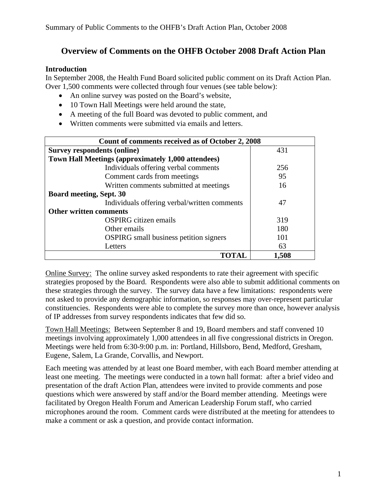## **Overview of Comments on the OHFB October 2008 Draft Action Plan**

#### **Introduction**

In September 2008, the Health Fund Board solicited public comment on its Draft Action Plan. Over 1,500 comments were collected through four venues (see table below):

- An online survey was posted on the Board's website,
- 10 Town Hall Meetings were held around the state,
- A meeting of the full Board was devoted to public comment, and
- Written comments were submitted via emails and letters.

| Count of comments received as of October 2, 2008          |       |  |  |  |
|-----------------------------------------------------------|-------|--|--|--|
| Survey respondents (online)                               | 431   |  |  |  |
| <b>Town Hall Meetings (approximately 1,000 attendees)</b> |       |  |  |  |
| Individuals offering verbal comments                      | 256   |  |  |  |
| Comment cards from meetings                               | 95    |  |  |  |
| Written comments submitted at meetings                    | 16    |  |  |  |
| <b>Board meeting, Sept. 30</b>                            |       |  |  |  |
| Individuals offering verbal/written comments              | 47    |  |  |  |
| <b>Other written comments</b>                             |       |  |  |  |
| <b>OSPIRG</b> citizen emails                              | 319   |  |  |  |
| Other emails                                              | 180   |  |  |  |
| <b>OSPIRG</b> small business petition signers             | 101   |  |  |  |
| Letters                                                   | 63    |  |  |  |
|                                                           | 1,508 |  |  |  |

Online Survey: The online survey asked respondents to rate their agreement with specific strategies proposed by the Board. Respondents were also able to submit additional comments on these strategies through the survey. The survey data have a few limitations: respondents were not asked to provide any demographic information, so responses may over-represent particular constituencies. Respondents were able to complete the survey more than once, however analysis of IP addresses from survey respondents indicates that few did so.

Town Hall Meetings: Between September 8 and 19, Board members and staff convened 10 meetings involving approximately 1,000 attendees in all five congressional districts in Oregon. Meetings were held from 6:30-9:00 p.m. in: Portland, Hillsboro, Bend, Medford, Gresham, Eugene, Salem, La Grande, Corvallis, and Newport.

Each meeting was attended by at least one Board member, with each Board member attending at least one meeting. The meetings were conducted in a town hall format: after a brief video and presentation of the draft Action Plan, attendees were invited to provide comments and pose questions which were answered by staff and/or the Board member attending. Meetings were facilitated by Oregon Health Forum and American Leadership Forum staff, who carried microphones around the room. Comment cards were distributed at the meeting for attendees to make a comment or ask a question, and provide contact information.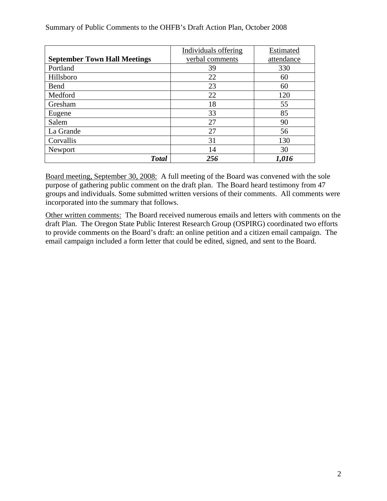|                                     | Individuals offering<br>Estimated |       |  |  |
|-------------------------------------|-----------------------------------|-------|--|--|
| <b>September Town Hall Meetings</b> | verbal comments<br>attendance     |       |  |  |
| Portland                            | 39                                | 330   |  |  |
| Hillsboro                           | 22                                | 60    |  |  |
| Bend                                | 23                                | 60    |  |  |
| Medford                             | 22                                | 120   |  |  |
| Gresham                             | 18                                | 55    |  |  |
| Eugene                              | 33                                | 85    |  |  |
| Salem                               | 27                                | 90    |  |  |
| La Grande                           | 27<br>56                          |       |  |  |
| Corvallis                           | 31<br>130                         |       |  |  |
| Newport                             | 14<br>30                          |       |  |  |
| <b>Total</b>                        | 256                               | 1,016 |  |  |

Summary of Public Comments to the OHFB's Draft Action Plan, October 2008

Board meeting, September 30, 2008: A full meeting of the Board was convened with the sole purpose of gathering public comment on the draft plan. The Board heard testimony from 47 groups and individuals. Some submitted written versions of their comments. All comments were incorporated into the summary that follows.

Other written comments: The Board received numerous emails and letters with comments on the draft Plan. The Oregon State Public Interest Research Group (OSPIRG) coordinated two efforts to provide comments on the Board's draft: an online petition and a citizen email campaign. The email campaign included a form letter that could be edited, signed, and sent to the Board.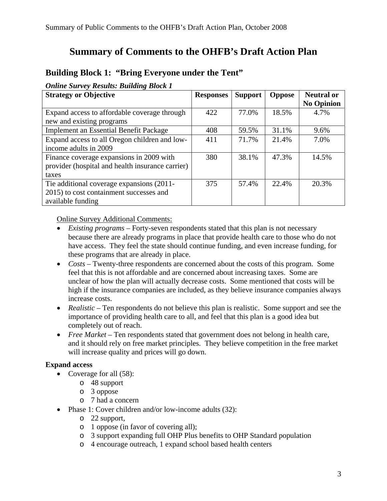# **Summary of Comments to the OHFB's Draft Action Plan**

## **Building Block 1: "Bring Everyone under the Tent"**

#### *Online Survey Results: Building Block 1*

| <b>Strategy or Objective</b>                     | <b>Responses</b> | <b>Support</b> | <b>Oppose</b> | <b>Neutral or</b> |
|--------------------------------------------------|------------------|----------------|---------------|-------------------|
|                                                  |                  |                |               | <b>No Opinion</b> |
| Expand access to affordable coverage through     | 422              | 77.0%          | 18.5%         | 4.7%              |
| new and existing programs                        |                  |                |               |                   |
| <b>Implement an Essential Benefit Package</b>    | 408              | 59.5%          | 31.1%         | 9.6%              |
| Expand access to all Oregon children and low-    | 411              | 71.7%          | 21.4%         | 7.0%              |
| income adults in 2009                            |                  |                |               |                   |
| Finance coverage expansions in 2009 with         | 380              | 38.1%          | 47.3%         | 14.5%             |
| provider (hospital and health insurance carrier) |                  |                |               |                   |
| taxes                                            |                  |                |               |                   |
| Tie additional coverage expansions (2011-        | 375              | 57.4%          | 22.4%         | 20.3%             |
| 2015) to cost containment successes and          |                  |                |               |                   |
| available funding                                |                  |                |               |                   |

Online Survey Additional Comments:

- *Existing programs* Forty-seven respondents stated that this plan is not necessary because there are already programs in place that provide health care to those who do not have access. They feel the state should continue funding, and even increase funding, for these programs that are already in place.
- *Costs –* Twenty-three respondents are concerned about the costs of this program. Some feel that this is not affordable and are concerned about increasing taxes. Some are unclear of how the plan will actually decrease costs. Some mentioned that costs will be high if the insurance companies are included, as they believe insurance companies always increase costs.
- *Realistic* Ten respondents do not believe this plan is realistic. Some support and see the importance of providing health care to all, and feel that this plan is a good idea but completely out of reach.
- *Free Market* Ten respondents stated that government does not belong in health care, and it should rely on free market principles. They believe competition in the free market will increase quality and prices will go down.

## **Expand access**

- Coverage for all  $(58)$ :
	- o 48 support
		- o 3 oppose
		- o 7 had a concern
- Phase 1: Cover children and/or low-income adults (32):
	- o 22 support,
	- o 1 oppose (in favor of covering all);
	- o 3 support expanding full OHP Plus benefits to OHP Standard population
	- o 4 encourage outreach, 1 expand school based health centers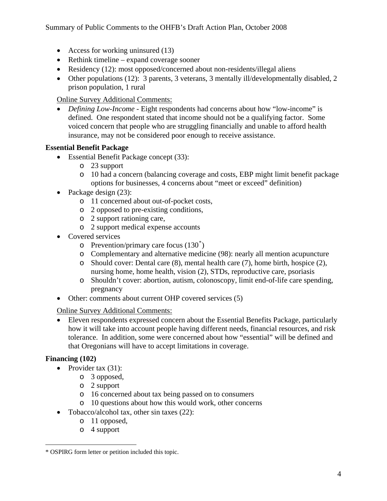- Access for working uninsured (13)
- Rethink timeline expand coverage sooner
- Residency (12): most opposed/concerned about non-residents/illegal aliens
- Other populations (12): 3 parents, 3 veterans, 3 mentally ill/developmentally disabled, 2 prison population, 1 rural

• *Defining Low-Income* - Eight respondents had concerns about how "low-income" is defined. One respondent stated that income should not be a qualifying factor. Some voiced concern that people who are struggling financially and unable to afford health insurance, may not be considered poor enough to receive assistance.

## **Essential Benefit Package**

- Essential Benefit Package concept (33):
	- o 23 support
	- o 10 had a concern (balancing coverage and costs, EBP might limit benefit package options for businesses, 4 concerns about "meet or exceed" definition)
- Package design (23):
	- o 11 concerned about out-of-pocket costs,
	- o 2 opposed to pre-existing conditions,
	- o 2 support rationing care,
	- o 2 support medical expense accounts
- Covered services
	- $\circ$  Prevention/primary care focus (130<sup>[\\*](#page-3-0)</sup>)
	- o Complementary and alternative medicine (98): nearly all mention acupuncture
	- o Should cover: Dental care (8), mental health care (7), home birth, hospice (2), nursing home, home health, vision (2), STDs, reproductive care, psoriasis
	- o Shouldn't cover: abortion, autism, colonoscopy, limit end-of-life care spending, pregnancy
- Other: comments about current OHP covered services (5)

Online Survey Additional Comments:

• Eleven respondents expressed concern about the Essential Benefits Package, particularly how it will take into account people having different needs, financial resources, and risk tolerance. In addition, some were concerned about how "essential" will be defined and that Oregonians will have to accept limitations in coverage.

## **Financing (102)**

- Provider tax  $(31)$ :
	- o 3 opposed,
	- o 2 support
	- o 16 concerned about tax being passed on to consumers
	- o 10 questions about how this would work, other concerns
- Tobacco/alcohol tax, other sin taxes (22):
	- o 11 opposed,
	- o 4 support

<span id="page-3-0"></span> $\overline{a}$ \* OSPIRG form letter or petition included this topic.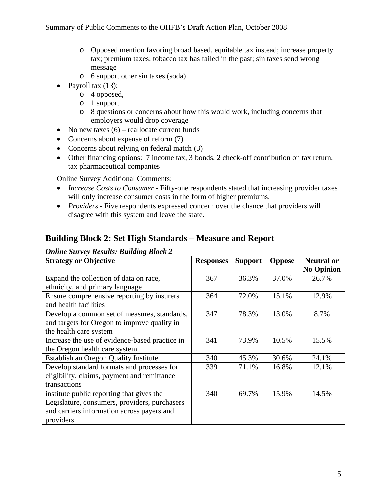- o Opposed mention favoring broad based, equitable tax instead; increase property tax; premium taxes; tobacco tax has failed in the past; sin taxes send wrong message
- o 6 support other sin taxes (soda)
- Payroll tax  $(13)$ :
	- o 4 opposed,
	- o 1 support
	- o 8 questions or concerns about how this would work, including concerns that employers would drop coverage
- No new taxes  $(6)$  reallocate current funds
- Concerns about expense of reform (7)
- Concerns about relying on federal match (3)
- Other financing options: 7 income tax, 3 bonds, 2 check-off contribution on tax return, tax pharmaceutical companies

- *Increase Costs to Consumer* Fifty-one respondents stated that increasing provider taxes will only increase consumer costs in the form of higher premiums.
- *Providers* Five respondents expressed concern over the chance that providers will disagree with this system and leave the state.

## **Building Block 2: Set High Standards – Measure and Report**

#### *Online Survey Results: Building Block 2*

| <b>Strategy or Objective</b>                   | <b>Responses</b> | <b>Support</b> | <b>Oppose</b> | <b>Neutral or</b> |
|------------------------------------------------|------------------|----------------|---------------|-------------------|
|                                                |                  |                |               | <b>No Opinion</b> |
| Expand the collection of data on race,         | 367              | 36.3%          | 37.0%         | 26.7%             |
| ethnicity, and primary language                |                  |                |               |                   |
| Ensure comprehensive reporting by insurers     | 364              | 72.0%          | 15.1%         | 12.9%             |
| and health facilities                          |                  |                |               |                   |
| Develop a common set of measures, standards,   | 347              | 78.3%          | 13.0%         | 8.7%              |
| and targets for Oregon to improve quality in   |                  |                |               |                   |
| the health care system                         |                  |                |               |                   |
| Increase the use of evidence-based practice in | 341              | 73.9%          | 10.5%         | 15.5%             |
| the Oregon health care system                  |                  |                |               |                   |
| <b>Establish an Oregon Quality Institute</b>   | 340              | 45.3%          | 30.6%         | 24.1%             |
| Develop standard formats and processes for     | 339              | 71.1%          | 16.8%         | 12.1%             |
| eligibility, claims, payment and remittance    |                  |                |               |                   |
| transactions                                   |                  |                |               |                   |
| institute public reporting that gives the      | 340              | 69.7%          | 15.9%         | 14.5%             |
| Legislature, consumers, providers, purchasers  |                  |                |               |                   |
| and carriers information across payers and     |                  |                |               |                   |
| providers                                      |                  |                |               |                   |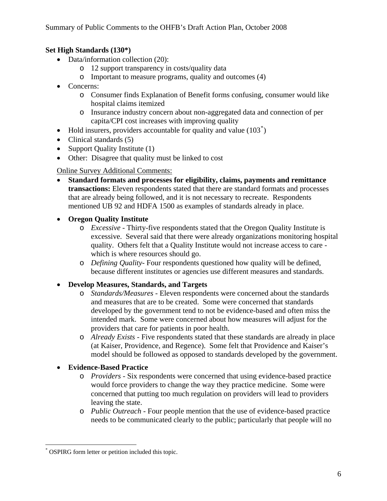## **Set High Standards (130\*)**

- Data/information collection (20):
	- o 12 support transparency in costs/quality data
	- o Important to measure programs, quality and outcomes (4)
- Concerns:
	- o Consumer finds Explanation of Benefit forms confusing, consumer would like hospital claims itemized
	- o Insurance industry concern about non-aggregated data and connection of per capita/CPI cost increases with improving quality
- Hold insurers, providers accountable for quality and value  $(103^*)$  $(103^*)$  $(103^*)$
- Clinical standards (5)
- Support Quality Institute (1)
- Other: Disagree that quality must be linked to cost

Online Survey Additional Comments:

- **Standard formats and processes for eligibility, claims, payments and remittance transactions:** Eleven respondents stated that there are standard formats and processes that are already being followed, and it is not necessary to recreate. Respondents mentioned UB 92 and HDFA 1500 as examples of standards already in place.
- **Oregon Quality Institute** 
	- o *Excessive* Thirty-five respondents stated that the Oregon Quality Institute is excessive. Several said that there were already organizations monitoring hospital quality. Others felt that a Quality Institute would not increase access to care which is where resources should go.
	- o *Defining Quality-* Four respondents questioned how quality will be defined, because different institutes or agencies use different measures and standards.
- **Develop Measures, Standards, and Targets** 
	- o *Standards/Measures* Eleven respondents were concerned about the standards and measures that are to be created. Some were concerned that standards developed by the government tend to not be evidence-based and often miss the intended mark. Some were concerned about how measures will adjust for the providers that care for patients in poor health.
	- o *Already Exists* Five respondents stated that these standards are already in place (at Kaiser, Providence, and Regence). Some felt that Providence and Kaiser's model should be followed as opposed to standards developed by the government.

## • **Evidence-Based Practice**

- o *Providers* Six respondents were concerned that using evidence-based practice would force providers to change the way they practice medicine. Some were concerned that putting too much regulation on providers will lead to providers leaving the state.
- o *Public Outreach* Four people mention that the use of evidence-based practice needs to be communicated clearly to the public; particularly that people will no

<u>.</u>

<span id="page-5-0"></span><sup>\*</sup> OSPIRG form letter or petition included this topic.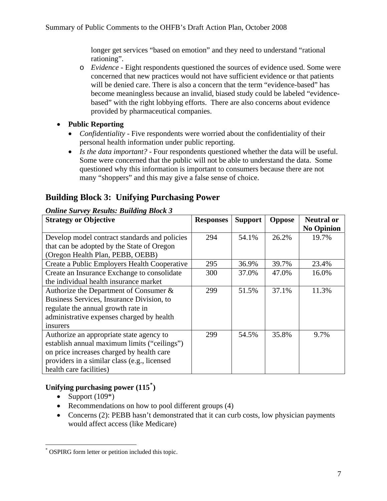longer get services "based on emotion" and they need to understand "rational rationing".

- o *Evidence* Eight respondents questioned the sources of evidence used. Some were concerned that new practices would not have sufficient evidence or that patients will be denied care. There is also a concern that the term "evidence-based" has become meaningless because an invalid, biased study could be labeled "evidencebased" with the right lobbying efforts. There are also concerns about evidence provided by pharmaceutical companies.
- **Public Reporting** 
	- *Confidentiality* Five respondents were worried about the confidentiality of their personal health information under public reporting.
	- *Is the data important?* Four respondents questioned whether the data will be useful. Some were concerned that the public will not be able to understand the data. Some questioned why this information is important to consumers because there are not many "shoppers" and this may give a false sense of choice.

## **Building Block 3: Unifying Purchasing Power**

#### *Online Survey Results: Building Block 3*

| <b>Strategy or Objective</b>                  | <b>Responses</b> | <b>Support</b> | <b>Oppose</b> | <b>Neutral or</b> |
|-----------------------------------------------|------------------|----------------|---------------|-------------------|
|                                               |                  |                |               | <b>No Opinion</b> |
| Develop model contract standards and policies | 294              | 54.1%          | 26.2%         | 19.7%             |
| that can be adopted by the State of Oregon    |                  |                |               |                   |
| (Oregon Health Plan, PEBB, OEBB)              |                  |                |               |                   |
| Create a Public Employers Health Cooperative  | 295              | 36.9%          | 39.7%         | 23.4%             |
| Create an Insurance Exchange to consolidate   | 300              | 37.0%          | 47.0%         | 16.0%             |
| the individual health insurance market        |                  |                |               |                   |
| Authorize the Department of Consumer &        | 299              | 51.5%          | 37.1%         | 11.3%             |
| Business Services, Insurance Division, to     |                  |                |               |                   |
| regulate the annual growth rate in            |                  |                |               |                   |
| administrative expenses charged by health     |                  |                |               |                   |
| insurers                                      |                  |                |               |                   |
| Authorize an appropriate state agency to      | 299              | 54.5%          | 35.8%         | 9.7%              |
| establish annual maximum limits ("ceilings")  |                  |                |               |                   |
| on price increases charged by health care     |                  |                |               |                   |
| providers in a similar class (e.g., licensed  |                  |                |               |                   |
| health care facilities)                       |                  |                |               |                   |

## **Unifying purchasing power (115[\\*](#page-6-0) )**

• Support  $(109^*)$ 

 $\overline{a}$ 

- Recommendations on how to pool different groups (4)
- Concerns (2): PEBB hasn't demonstrated that it can curb costs, low physician payments would affect access (like Medicare)

<span id="page-6-0"></span><sup>\*</sup> OSPIRG form letter or petition included this topic.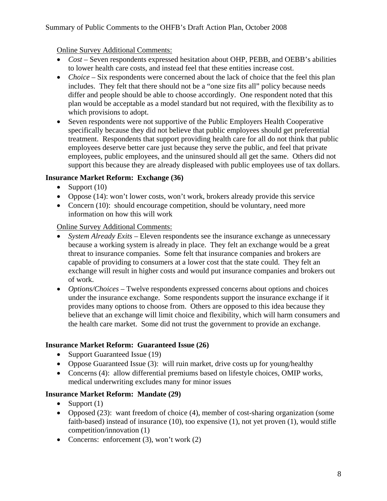- *Cost* Seven respondents expressed hesitation about OHP, PEBB, and OEBB's abilities to lower health care costs, and instead feel that these entities increase cost.
- *Choice* Six respondents were concerned about the lack of choice that the feel this plan includes. They felt that there should not be a "one size fits all" policy because needs differ and people should be able to choose accordingly. One respondent noted that this plan would be acceptable as a model standard but not required, with the flexibility as to which provisions to adopt.
- Seven respondents were not supportive of the Public Employers Health Cooperative specifically because they did not believe that public employees should get preferential treatment. Respondents that support providing health care for all do not think that public employees deserve better care just because they serve the public, and feel that private employees, public employees, and the uninsured should all get the same. Others did not support this because they are already displeased with public employees use of tax dollars.

#### **Insurance Market Reform: Exchange (36)**

- Support  $(10)$
- Oppose (14): won't lower costs, won't work, brokers already provide this service
- Concern (10): should encourage competition, should be voluntary, need more information on how this will work

## Online Survey Additional Comments:

- *System Already Exits Eleven respondents see the insurance exchange as unnecessary* because a working system is already in place. They felt an exchange would be a great threat to insurance companies. Some felt that insurance companies and brokers are capable of providing to consumers at a lower cost that the state could. They felt an exchange will result in higher costs and would put insurance companies and brokers out of work.
- *Options/Choices* Twelve respondents expressed concerns about options and choices under the insurance exchange. Some respondents support the insurance exchange if it provides many options to choose from. Others are opposed to this idea because they believe that an exchange will limit choice and flexibility, which will harm consumers and the health care market. Some did not trust the government to provide an exchange.

## **Insurance Market Reform: Guaranteed Issue (26)**

- Support Guaranteed Issue (19)
- Oppose Guaranteed Issue (3): will ruin market, drive costs up for young/healthy
- Concerns (4): allow differential premiums based on lifestyle choices, OMIP works, medical underwriting excludes many for minor issues

## **Insurance Market Reform: Mandate (29)**

- Support  $(1)$
- Opposed (23): want freedom of choice (4), member of cost-sharing organization (some faith-based) instead of insurance (10), too expensive (1), not yet proven (1), would stifle competition/innovation (1)
- Concerns: enforcement (3), won't work (2)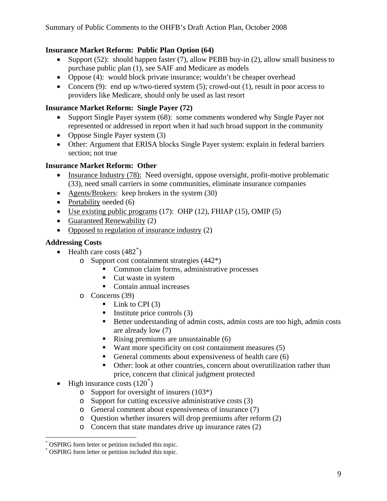## **Insurance Market Reform: Public Plan Option (64)**

- Support (52): should happen faster (7), allow PEBB buy-in (2), allow small business to purchase public plan (1), see SAIF and Medicare as models
- Oppose (4): would block private insurance; wouldn't be cheaper overhead
- Concern (9): end up w/two-tiered system (5); crowd-out (1), result in poor access to providers like Medicare, should only be used as last resort

## **Insurance Market Reform: Single Payer (72)**

- Support Single Payer system (68): some comments wondered why Single Payer not represented or addressed in report when it had such broad support in the community
- Oppose Single Payer system (3)
- Other: Argument that ERISA blocks Single Payer system: explain in federal barriers section; not true

## **Insurance Market Reform: Other**

- Insurance Industry (78): Need oversight, oppose oversight, profit-motive problematic (33), need small carriers in some communities, eliminate insurance companies
- Agents/Brokers: keep brokers in the system (30)
- Portability needed (6)
- Use existing public programs  $(17)$ : OHP  $(12)$ , FHIAP  $(15)$ , OMIP  $(5)$
- Guaranteed Renewability (2)
- Opposed to regulation of insurance industry (2)

## **Addressing Costs**

- Health care costs  $(482^*)$  $(482^*)$  $(482^*)$ 
	- o Support cost containment strategies (442\*)
		- Common claim forms, administrative processes
		- Cut waste in system
		- Contain annual increases
	- o Concerns (39)
		- $\blacksquare$  Link to CPI (3)
		- Institute price controls  $(3)$
		- Better understanding of admin costs, admin costs are too high, admin costs are already low (7)
		- Rising premiums are unsustainable  $(6)$
		- $\blacksquare$  Want more specificity on cost containment measures (5)
		- General comments about expensiveness of health care (6)
		- Other: look at other countries, concern about overutilization rather than price, concern that clinical judgment protected
- High insurance costs  $(120^*)$  $(120^*)$  $(120^*)$ 
	- o Support for oversight of insurers (103\*)
	- o Support for cutting excessive administrative costs (3)
	- o General comment about expensiveness of insurance (7)
	- o Question whether insurers will drop premiums after reform (2)
	- o Concern that state mandates drive up insurance rates (2)

 $\overline{a}$ 

<span id="page-8-0"></span><sup>\*</sup> OSPIRG form letter or petition included this topic.

<span id="page-8-1"></span><sup>\*</sup> OSPIRG form letter or petition included this topic.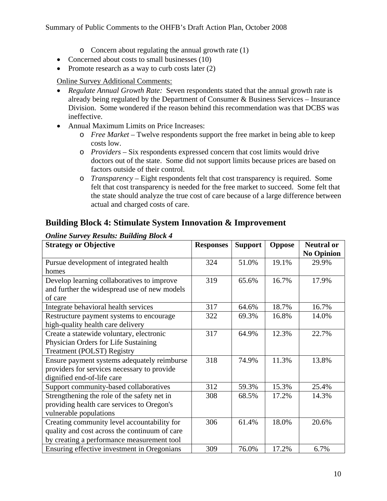- o Concern about regulating the annual growth rate (1)
- Concerned about costs to small businesses (10)
- Promote research as a way to curb costs later (2)

- *Regulate Annual Growth Rate:* Seven respondents stated that the annual growth rate is already being regulated by the Department of Consumer & Business Services – Insurance Division. Some wondered if the reason behind this recommendation was that DCBS was ineffective.
- Annual Maximum Limits on Price Increases:
	- o *Free Market* Twelve respondents support the free market in being able to keep costs low.
	- o *Providers* Six respondents expressed concern that cost limits would drive doctors out of the state. Some did not support limits because prices are based on factors outside of their control.
	- o *Transparency* Eight respondents felt that cost transparency is required. Some felt that cost transparency is needed for the free market to succeed. Some felt that the state should analyze the true cost of care because of a large difference between actual and charged costs of care.

## **Building Block 4: Stimulate System Innovation & Improvement**

| <b>Strategy or Objective</b>                  | <b>Responses</b> | <b>Support</b> | <b>Oppose</b> | <b>Neutral or</b> |
|-----------------------------------------------|------------------|----------------|---------------|-------------------|
|                                               |                  |                |               | <b>No Opinion</b> |
| Pursue development of integrated health       | 324              | 51.0%          | 19.1%         | 29.9%             |
| homes                                         |                  |                |               |                   |
| Develop learning collaboratives to improve    | 319              | 65.6%          | 16.7%         | 17.9%             |
| and further the widespread use of new models  |                  |                |               |                   |
| of care                                       |                  |                |               |                   |
| Integrate behavioral health services          | 317              | 64.6%          | 18.7%         | 16.7%             |
| Restructure payment systems to encourage      | 322              | 69.3%          | 16.8%         | 14.0%             |
| high-quality health care delivery             |                  |                |               |                   |
| Create a statewide voluntary, electronic      | 317              | 64.9%          | 12.3%         | 22.7%             |
| Physician Orders for Life Sustaining          |                  |                |               |                   |
| <b>Treatment (POLST) Registry</b>             |                  |                |               |                   |
| Ensure payment systems adequately reimburse   | 318              | 74.9%          | 11.3%         | 13.8%             |
| providers for services necessary to provide   |                  |                |               |                   |
| dignified end-of-life care                    |                  |                |               |                   |
| Support community-based collaboratives        | 312              | 59.3%          | 15.3%         | 25.4%             |
| Strengthening the role of the safety net in   | 308              | 68.5%          | 17.2%         | 14.3%             |
| providing health care services to Oregon's    |                  |                |               |                   |
| vulnerable populations                        |                  |                |               |                   |
| Creating community level accountability for   | 306              | 61.4%          | 18.0%         | 20.6%             |
| quality and cost across the continuum of care |                  |                |               |                   |
| by creating a performance measurement tool    |                  |                |               |                   |
| Ensuring effective investment in Oregonians   | 309              | 76.0%          | 17.2%         | 6.7%              |

#### *Online Survey Results: Building Block 4*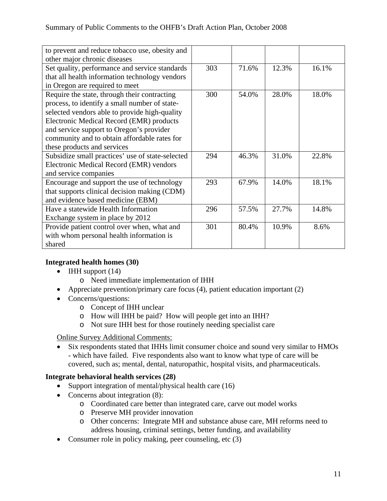| to prevent and reduce tobacco use, obesity and   |     |       |       |       |
|--------------------------------------------------|-----|-------|-------|-------|
| other major chronic diseases                     |     |       |       |       |
| Set quality, performance and service standards   | 303 | 71.6% | 12.3% | 16.1% |
| that all health information technology vendors   |     |       |       |       |
| in Oregon are required to meet                   |     |       |       |       |
| Require the state, through their contracting     | 300 | 54.0% | 28.0% | 18.0% |
| process, to identify a small number of state-    |     |       |       |       |
| selected vendors able to provide high-quality    |     |       |       |       |
| Electronic Medical Record (EMR) products         |     |       |       |       |
| and service support to Oregon's provider         |     |       |       |       |
| community and to obtain affordable rates for     |     |       |       |       |
| these products and services                      |     |       |       |       |
| Subsidize small practices' use of state-selected | 294 | 46.3% | 31.0% | 22.8% |
| Electronic Medical Record (EMR) vendors          |     |       |       |       |
| and service companies                            |     |       |       |       |
| Encourage and support the use of technology      | 293 | 67.9% | 14.0% | 18.1% |
| that supports clinical decision making (CDM)     |     |       |       |       |
| and evidence based medicine (EBM)                |     |       |       |       |
| Have a statewide Health Information              | 296 | 57.5% | 27.7% | 14.8% |
| Exchange system in place by 2012                 |     |       |       |       |
| Provide patient control over when, what and      | 301 | 80.4% | 10.9% | 8.6%  |
| with whom personal health information is         |     |       |       |       |
| shared                                           |     |       |       |       |

## **Integrated health homes (30)**

- IHH support  $(14)$ 
	- o Need immediate implementation of IHH
- Appreciate prevention/primary care focus (4), patient education important (2)
- Concerns/questions:
	- o Concept of IHH unclear
	- o How will IHH be paid? How will people get into an IHH?
	- o Not sure IHH best for those routinely needing specialist care

Online Survey Additional Comments:

• Six respondents stated that IHHs limit consumer choice and sound very similar to HMOs - which have failed. Five respondents also want to know what type of care will be covered, such as; mental, dental, naturopathic, hospital visits, and pharmaceuticals.

## **Integrate behavioral health services (28)**

- Support integration of mental/physical health care (16)
- Concerns about integration (8):
	- o Coordinated care better than integrated care, carve out model works
	- o Preserve MH provider innovation
	- o Other concerns: Integrate MH and substance abuse care, MH reforms need to address housing, criminal settings, better funding, and availability
- Consumer role in policy making, peer counseling, etc (3)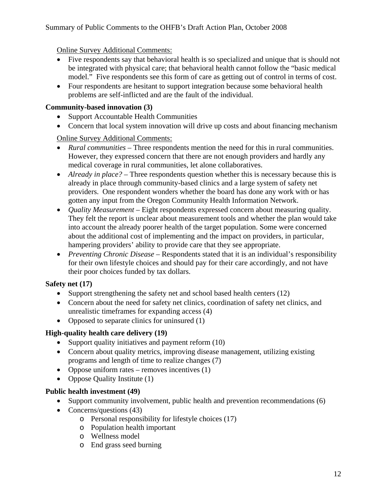#### Summary of Public Comments to the OHFB's Draft Action Plan, October 2008

Online Survey Additional Comments:

- Five respondents say that behavioral health is so specialized and unique that is should not be integrated with physical care; that behavioral health cannot follow the "basic medical model." Five respondents see this form of care as getting out of control in terms of cost.
- Four respondents are hesitant to support integration because some behavioral health problems are self-inflicted and are the fault of the individual.

#### **Community-based innovation (3)**

- Support Accountable Health Communities
- Concern that local system innovation will drive up costs and about financing mechanism

#### Online Survey Additional Comments:

- *Rural communities* Three respondents mention the need for this in rural communities. However, they expressed concern that there are not enough providers and hardly any medical coverage in rural communities, let alone collaboratives.
- *Already in place?* Three respondents question whether this is necessary because this is already in place through community-based clinics and a large system of safety net providers. One respondent wonders whether the board has done any work with or has gotten any input from the Oregon Community Health Information Network.
- *Quality Measurement* Eight respondents expressed concern about measuring quality. They felt the report is unclear about measurement tools and whether the plan would take into account the already poorer health of the target population. Some were concerned about the additional cost of implementing and the impact on providers, in particular, hampering providers' ability to provide care that they see appropriate.
- *Preventing Chronic Disease* Respondents stated that it is an individual's responsibility for their own lifestyle choices and should pay for their care accordingly, and not have their poor choices funded by tax dollars.

## **Safety net (17)**

- Support strengthening the safety net and school based health centers (12)
- Concern about the need for safety net clinics, coordination of safety net clinics, and unrealistic timeframes for expanding access (4)
- Opposed to separate clinics for uninsured (1)

## **High-quality health care delivery (19)**

- Support quality initiatives and payment reform (10)
- Concern about quality metrics, improving disease management, utilizing existing programs and length of time to realize changes (7)
- Oppose uniform rates removes incentives (1)
- Oppose Quality Institute (1)

#### **Public health investment (49)**

- Support community involvement, public health and prevention recommendations (6)
- Concerns/questions (43)
	- o Personal responsibility for lifestyle choices (17)
	- o Population health important
	- o Wellness model
	- o End grass seed burning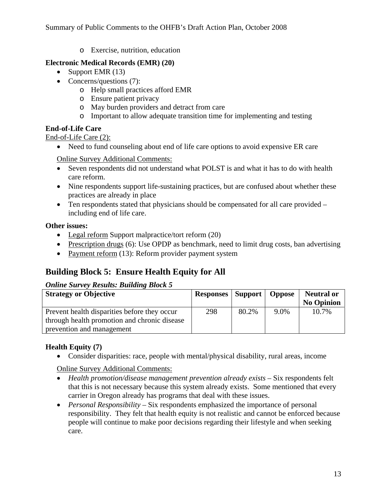o Exercise, nutrition, education

#### **Electronic Medical Records (EMR) (20)**

- Support EMR (13)
- Concerns/questions (7):
	- o Help small practices afford EMR
	- o Ensure patient privacy
	- o May burden providers and detract from care
	- o Important to allow adequate transition time for implementing and testing

#### **End-of-Life Care**

End-of-Life Care (2):

• Need to fund counseling about end of life care options to avoid expensive ER care

Online Survey Additional Comments:

- Seven respondents did not understand what POLST is and what it has to do with health care reform.
- Nine respondents support life-sustaining practices, but are confused about whether these practices are already in place
- Ten respondents stated that physicians should be compensated for all care provided including end of life care.

#### **Other issues:**

- Legal reform Support malpractice/tort reform (20)
- Prescription drugs (6): Use OPDP as benchmark, need to limit drug costs, ban advertising
- Payment reform (13): Reform provider payment system

## **Building Block 5: Ensure Health Equity for All**

#### *Online Survey Results: Building Block 5*

| <b>Strategy or Objective</b>                 | <b>Responses</b>   Support   Oppose |       |      | <b>Neutral or</b> |
|----------------------------------------------|-------------------------------------|-------|------|-------------------|
|                                              |                                     |       |      | <b>No Opinion</b> |
| Prevent health disparities before they occur | 298                                 | 80.2% | 9.0% | 10.7%             |
| through health promotion and chronic disease |                                     |       |      |                   |
| prevention and management                    |                                     |       |      |                   |

## **Health Equity (7)**

• Consider disparities: race, people with mental/physical disability, rural areas, income

Online Survey Additional Comments:

- *Health promotion/disease management prevention already exists Six respondents felt* that this is not necessary because this system already exists. Some mentioned that every carrier in Oregon already has programs that deal with these issues.
- *Personal Responsibility* Six respondents emphasized the importance of personal responsibility. They felt that health equity is not realistic and cannot be enforced because people will continue to make poor decisions regarding their lifestyle and when seeking care.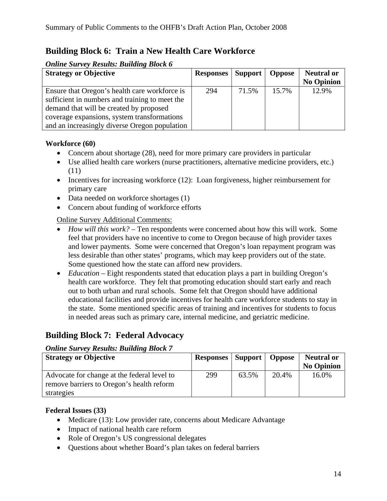## **Building Block 6: Train a New Health Care Workforce**

#### *Online Survey Results: Building Block 6*

| <b>Strategy or Objective</b>                   | <b>Responses</b>   Support |       | <b>Oppose</b> | <b>Neutral or</b> |
|------------------------------------------------|----------------------------|-------|---------------|-------------------|
|                                                |                            |       |               | <b>No Opinion</b> |
| Ensure that Oregon's health care workforce is  | 294                        | 71.5% | 15.7%         | 12.9%             |
| sufficient in numbers and training to meet the |                            |       |               |                   |
| demand that will be created by proposed        |                            |       |               |                   |
| coverage expansions, system transformations    |                            |       |               |                   |
| and an increasingly diverse Oregon population  |                            |       |               |                   |

#### **Workforce (60)**

- Concern about shortage (28), need for more primary care providers in particular
- Use allied health care workers (nurse practitioners, alternative medicine providers, etc.) (11)
- Incentives for increasing workforce (12): Loan forgiveness, higher reimbursement for primary care
- Data needed on workforce shortages (1)
- Concern about funding of workforce efforts

#### Online Survey Additional Comments:

- *How will this work?* Ten respondents were concerned about how this will work. Some feel that providers have no incentive to come to Oregon because of high provider taxes and lower payments. Some were concerned that Oregon's loan repayment program was less desirable than other states' programs, which may keep providers out of the state. Some questioned how the state can afford new providers.
- *Education* Eight respondents stated that education plays a part in building Oregon's health care workforce. They felt that promoting education should start early and reach out to both urban and rural schools. Some felt that Oregon should have additional educational facilities and provide incentives for health care workforce students to stay in the state. Some mentioned specific areas of training and incentives for students to focus in needed areas such as primary care, internal medicine, and geriatric medicine.

## **Building Block 7: Federal Advocacy**

#### *Online Survey Results: Building Block 7*

| <b>Strategy or Objective</b>                | <b>Responses   Support   Oppose</b> |       |       | <b>Neutral or</b> |
|---------------------------------------------|-------------------------------------|-------|-------|-------------------|
|                                             |                                     |       |       | <b>No Opinion</b> |
| Advocate for change at the federal level to | 299                                 | 63.5% | 20.4% | 16.0%             |
| remove barriers to Oregon's health reform   |                                     |       |       |                   |
| strategies                                  |                                     |       |       |                   |

#### **Federal Issues (33)**

- Medicare (13): Low provider rate, concerns about Medicare Advantage
- Impact of national health care reform
- Role of Oregon's US congressional delegates
- Questions about whether Board's plan takes on federal barriers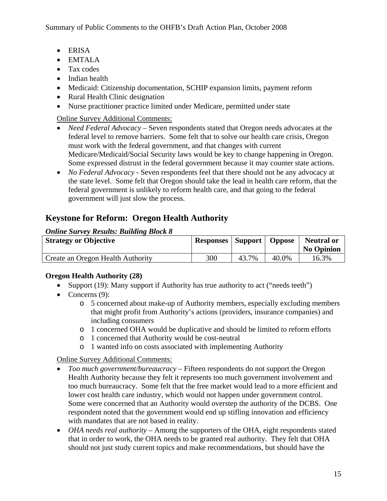- ERISA
- EMTALA
- Tax codes
- Indian health
- Medicaid: Citizenship documentation, SCHIP expansion limits, payment reform
- Rural Health Clinic designation
- Nurse practitioner practice limited under Medicare, permitted under state

- *Need Federal Advocacy* Seven respondents stated that Oregon needs advocates at the federal level to remove barriers. Some felt that to solve our health care crisis, Oregon must work with the federal government, and that changes with current Medicare/Medicaid/Social Security laws would be key to change happening in Oregon. Some expressed distrust in the federal government because it may counter state actions.
- *No Federal Advocacy* Seven respondents feel that there should not be any advocacy at the state level. Some felt that Oregon should take the lead in health care reform, that the federal government is unlikely to reform health care, and that going to the federal government will just slow the process.

## **Keystone for Reform: Oregon Health Authority**

#### *Online Survey Results: Building Block 8*

| <b>Strategy or Objective</b>      | <b>Responses</b>   Support   Oppose |       |       | <b>Neutral or</b><br><b>No Opinion</b> |
|-----------------------------------|-------------------------------------|-------|-------|----------------------------------------|
| Create an Oregon Health Authority | 300                                 | 43.7% | 40.0% | 16.3%                                  |

## **Oregon Health Authority (28)**

- Support (19): Many support if Authority has true authority to act ("needs teeth")
- Concerns  $(9)$ :
	- o 5 concerned about make-up of Authority members, especially excluding members that might profit from Authority's actions (providers, insurance companies) and including consumers
	- o 1 concerned OHA would be duplicative and should be limited to reform efforts
	- o 1 concerned that Authority would be cost-neutral
	- o 1 wanted info on costs associated with implementing Authority

## Online Survey Additional Comments:

- *Too much government/bureaucracy* Fifteen respondents do not support the Oregon Health Authority because they felt it represents too much government involvement and too much bureaucracy. Some felt that the free market would lead to a more efficient and lower cost health care industry, which would not happen under government control. Some were concerned that an Authority would overstep the authority of the DCBS. One respondent noted that the government would end up stifling innovation and efficiency with mandates that are not based in reality.
- *OHA needs real authority* Among the supporters of the OHA, eight respondents stated that in order to work, the OHA needs to be granted real authority. They felt that OHA should not just study current topics and make recommendations, but should have the